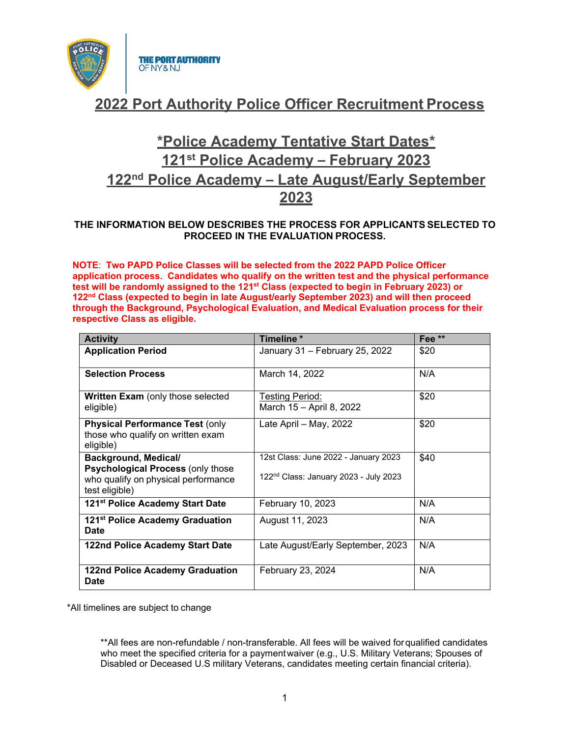

# **2022 Port Authority Police Officer Recruitment Process**

# **\*Police Academy Tentative Start Dates\* 121st Police Academy – February 2023 122nd Police Academy – Late August/Early September 2023**

### **THE INFORMATION BELOW DESCRIBES THE PROCESS FOR APPLICANTS SELECTED TO PROCEED IN THE EVALUATION PROCESS.**

**NOTE**: **Two PAPD Police Classes will be selected from the 2022 PAPD Police Officer application process. Candidates who qualify on the written test and the physical performance test will be randomly assigned to the 121st Class (expected to begin in February 2023) or 122nd Class (expected to begin in late August/early September 2023) and will then proceed through the Background, Psychological Evaluation, and Medical Evaluation process for their respective Class as eligible.**

| <b>Activity</b>                                                                                                           | Timeline*                                                                                 | Fee <sup>**</sup> |
|---------------------------------------------------------------------------------------------------------------------------|-------------------------------------------------------------------------------------------|-------------------|
| <b>Application Period</b>                                                                                                 | January 31 - February 25, 2022                                                            | \$20              |
| <b>Selection Process</b>                                                                                                  | March 14, 2022                                                                            | N/A               |
| <b>Written Exam</b> (only those selected<br>eligible)                                                                     | Testing Period:<br>March 15 - April 8, 2022                                               | \$20              |
| <b>Physical Performance Test (only</b><br>those who qualify on written exam<br>eligible)                                  | Late April - May, 2022                                                                    | \$20              |
| Background, Medical/<br><b>Psychological Process (only those</b><br>who qualify on physical performance<br>test eligible) | 12st Class: June 2022 - January 2023<br>122 <sup>nd</sup> Class: January 2023 - July 2023 | \$40              |
| 121 <sup>st</sup> Police Academy Start Date                                                                               | February 10, 2023                                                                         | N/A               |
| 121 <sup>st</sup> Police Academy Graduation<br><b>Date</b>                                                                | August 11, 2023                                                                           | N/A               |
| 122nd Police Academy Start Date                                                                                           | Late August/Early September, 2023                                                         | N/A               |
| <b>122nd Police Academy Graduation</b><br><b>Date</b>                                                                     | N/A<br>February 23, 2024                                                                  |                   |

\*All timelines are subject to change

\*\*All fees are non-refundable / non-transferable. All fees will be waived forqualified candidates who meet the specified criteria for a paymentwaiver (e.g., U.S. Military Veterans; Spouses of Disabled or Deceased U.S military Veterans, candidates meeting certain financial criteria).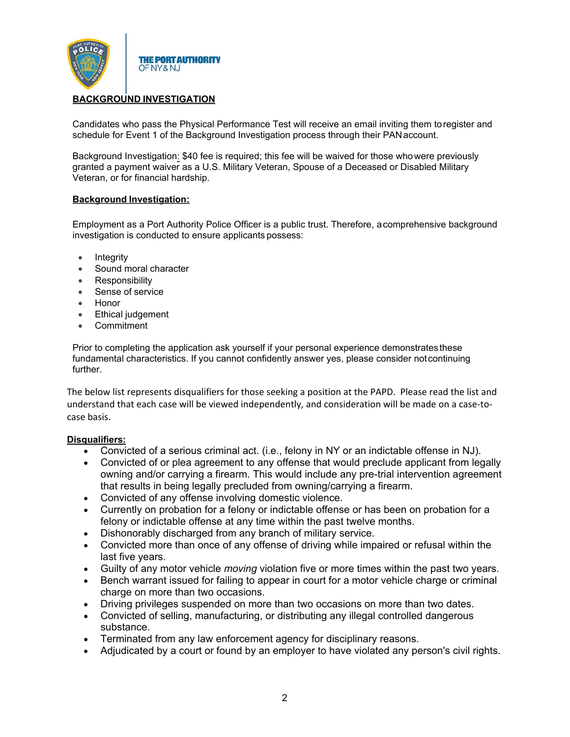

## **BACKGROUND INVESTIGATION**

Candidates who pass the Physical Performance Test will receive an email inviting them toregister and schedule for Event 1 of the Background Investigation process through their PAN account.

Background Investigation: \$40 fee is required; this fee will be waived for those whowere previously granted a payment waiver as a U.S. Military Veteran, Spouse of a Deceased or Disabled Military Veteran, or for financial hardship.

#### **Background Investigation:**

Employment as a Port Authority Police Officer is a public trust. Therefore, acomprehensive background investigation is conducted to ensure applicants possess:

- **Integrity**
- Sound moral character
- **Responsibility**
- Sense of service
- Honor
- **Ethical judgement**
- **Commitment**

Prior to completing the application ask yourself if your personal experience demonstrates these fundamental characteristics. If you cannot confidently answer yes, please consider notcontinuing further.

The below list represents disqualifiers for those seeking a position at the PAPD. Please read the list and understand that each case will be viewed independently, and consideration will be made on a case-tocase basis.

#### **Disqualifiers:**

- Convicted of a serious criminal act. (i.e., felony in NY or an indictable offense in NJ).
- Convicted of or plea agreement to any offense that would preclude applicant from legally owning and/or carrying a firearm. This would include any pre-trial intervention agreement that results in being legally precluded from owning/carrying a firearm.
- Convicted of any offense involving domestic violence.
- Currently on probation for a felony or indictable offense or has been on probation for a felony or indictable offense at any time within the past twelve months.
- Dishonorably discharged from any branch of military service.
- Convicted more than once of any offense of driving while impaired or refusal within the last five years.
- Guilty of any motor vehicle *moving* violation five or more times within the past two years.
- Bench warrant issued for failing to appear in court for a motor vehicle charge or criminal charge on more than two occasions.
- Driving privileges suspended on more than two occasions on more than two dates.
- Convicted of selling, manufacturing, or distributing any illegal controlled dangerous substance.
- Terminated from any law enforcement agency for disciplinary reasons.
- Adjudicated by a court or found by an employer to have violated any person's civil rights.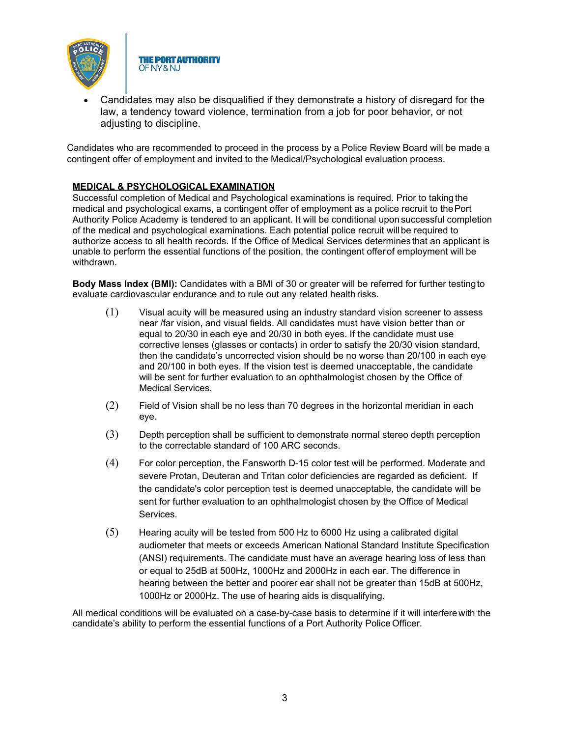

• Candidates may also be disqualified if they demonstrate a history of disregard for the law, a tendency toward violence, termination from a job for poor behavior, or not adjusting to discipline.

Candidates who are recommended to proceed in the process by a Police Review Board will be made a contingent offer of employment and invited to the Medical/Psychological evaluation process.

### **MEDICAL & PSYCHOLOGICAL EXAMINATION**

**THE PORT AUTHORITY** 

OF NY & NJ

Successful completion of Medical and Psychological examinations is required. Prior to takingthe medical and psychological exams, a contingent offer of employment as a police recruit to thePort Authority Police Academy is tendered to an applicant. It will be conditional upon successful completion of the medical and psychological examinations. Each potential police recruit will be required to authorize access to all health records. If the Office of Medical Services determines that an applicant is unable to perform the essential functions of the position, the contingent offerof employment will be withdrawn.

**Body Mass Index (BMI):** Candidates with a BMI of 30 or greater will be referred for further testingto evaluate cardiovascular endurance and to rule out any related health risks.

- (1) Visual acuity will be measured using an industry standard vision screener to assess near /far vision, and visual fields. All candidates must have vision better than or equal to 20/30 in each eye and 20/30 in both eyes. If the candidate must use corrective lenses (glasses or contacts) in order to satisfy the 20/30 vision standard, then the candidate's uncorrected vision should be no worse than 20/100 in each eye and 20/100 in both eyes. If the vision test is deemed unacceptable, the candidate will be sent for further evaluation to an ophthalmologist chosen by the Office of Medical Services.
- (2) Field of Vision shall be no less than 70 degrees in the horizontal meridian in each eye.
- (3) Depth perception shall be sufficient to demonstrate normal stereo depth perception to the correctable standard of 100 ARC seconds.
- (4) For color perception, the Fansworth D-15 color test will be performed. Moderate and severe Protan, Deuteran and Tritan color deficiencies are regarded as deficient. If the candidate's color perception test is deemed unacceptable, the candidate will be sent for further evaluation to an ophthalmologist chosen by the Office of Medical Services.
- (5) Hearing acuity will be tested from 500 Hz to 6000 Hz using a calibrated digital audiometer that meets or exceeds American National Standard Institute Specification (ANSI) requirements. The candidate must have an average hearing loss of less than or equal to 25dB at 500Hz, 1000Hz and 2000Hz in each ear. The difference in hearing between the better and poorer ear shall not be greater than 15dB at 500Hz, 1000Hz or 2000Hz. The use of hearing aids is disqualifying.

All medical conditions will be evaluated on a case-by-case basis to determine if it will interferewith the candidate's ability to perform the essential functions of a Port Authority Police Officer.